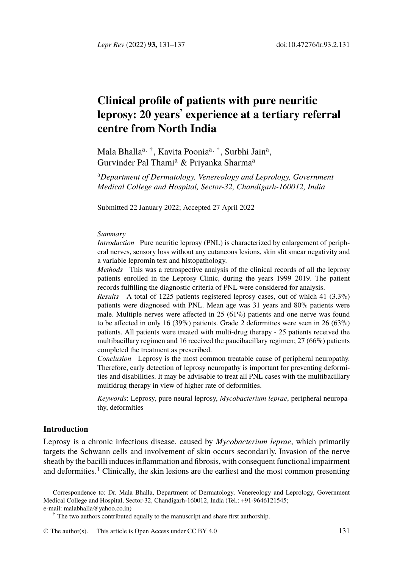*Lepr Rev* (2022) **93,** 131–137 doi:10.47276/lr.93.2.131

# **Clinical profile of patients with pure neuritic leprosy: 20 years**' **experience at a tertiary referral centre from North India**

Mala Bhalla<sup>a, †</sup>, Kavita Poonia<sup>a, †</sup>, Surbhi Jain<sup>a</sup>, Gurvinder Pal Thami<sup>a</sup> & Priyanka Sharma<sup>a</sup>

<sup>a</sup>*Department of Dermatology, Venereology and Leprology, Government Medical College and Hospital, Sector-32, Chandigarh-160012, India*

Submitted 22 January 2022; Accepted 27 April 2022

#### *Summary*

*Introduction* Pure neuritic leprosy (PNL) is characterized by enlargement of peripheral nerves, sensory loss without any cutaneous lesions, skin slit smear negativity and a variable lepromin test and histopathology.

*Methods* This was a retrospective analysis of the clinical records of all the leprosy patients enrolled in the Leprosy Clinic, during the years 1999–2019. The patient records fulfilling the diagnostic criteria of PNL were considered for analysis.

*Results* A total of 1225 patients registered leprosy cases, out of which 41 (3.3%) patients were diagnosed with PNL. Mean age was 31 years and 80% patients were male. Multiple nerves were affected in 25 (61%) patients and one nerve was found to be affected in only 16 (39%) patients. Grade 2 deformities were seen in 26 (63%) patients. All patients were treated with multi-drug therapy - 25 patients received the multibacillary regimen and 16 received the paucibacillary regimen; 27 (66%) patients completed the treatment as prescribed.

*Conclusion* Leprosy is the most common treatable cause of peripheral neuropathy. Therefore, early detection of leprosy neuropathy is important for preventing deformi[ti](#page-6-0)es and disabilities. It may be advisable to treat all PNL cases with the multibacillary multidrug therapy in view of higher rate of deformities.

*Keywords*: Leprosy, pure neural leprosy, *Mycobacterium leprae*, peripheral neuropathy, deformities

# **Introduction**

Leprosy is a chronic infectious disease, ca[used by](http://creativecommons.org/licenses/by/4.0/) *[M](http://creativecommons.org/licenses/by/4.0/)ycobacterium leprae*, which primarily targets the Schwann cells and involvement of skin occurs secondarily. Invasion of the nerve sheath by the bacilli induces inflammation and fibrosis, with consequent functional impairment and deformities.<sup>1</sup> Clinically, the skin lesions are the earliest and the most common presenting

Correspondence to: Dr. Mala Bhalla, Department of Dermatology, Venereology and Leprology, Government Medical College and Hospital, Sector-32, Chandigarh-160012, India (Tel.: +91-9646121545; e-mail: malabhalla@yahoo.co.in)

† The two authors contributed equally to the manuscript and share first authorship.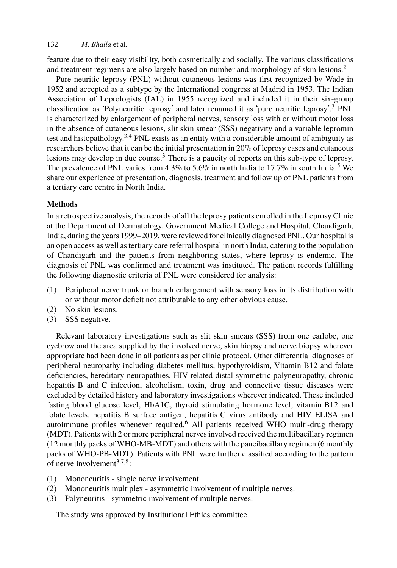# 132 *M. Bhalla* et al*[.](#page-6-1)*

feature due to their easy visibility, both cosmetically and socially. The various classifications and treatment regimens are also la[rg](#page-6-1)ely based on number and morphology of skin lesions.<sup>2</sup>

Pure neuritic leprosy (PNL) without cutaneous lesions was first recognized by Wa[de](#page-6-2) in 1952 and accepted as a subtype by the International congress at Madrid in 1953. The Indian Association of Leprologists (IAL) in 1955 recognized and included it in their six-group classification as 'Polyneuritic leprosy' and later renamed it as 'pure neuritic leprosy'. <sup>3</sup> PNL is characterized by enlargement of peripheral nerves, sensory loss with or without motor loss in the absence of cutaneous lesions, slit skin smear (SSS) negativity and a variable lepromin test and histopathology.<sup>3,4</sup> PNL exists as an entity with a considerable amount of ambiguity as researchers believe that it can be the initial presentation in 20% of leprosy cases and cutaneous lesions may develop in due course.<sup>3</sup> There is a paucity of reports on this sub-type of leprosy. The prevalence of PNL varies from 4.3% to 5.6% in north India to 17.7% in south India.<sup>5</sup> We share our experience of presentation, diagnosis, treatment and follow up of PNL patients from a tertiary care centre in North India.

# **Methods**

In a retrospective analysis, the records of all the leprosy patients enrolled in the Leprosy Clinic at the Department of Dermatology, Government Medical College and Hospital, Chandigarh, India, during the years 1999–2019, were reviewed for clinically diagnosed PNL. Our hospital is an open access as well as tertiary care referral hospital in north India, catering to the population of Chandigarh and the patients from neighboring states, where leprosy is endemic. The diagnosis of PNL was confirmed and treatment was instituted. The patient records fulfilling the following diagnostic criteria of PNL were considered for analysis:

- (1) Peripheral nerve trunk or branch enlargement with sensory loss in its distribution with or without motor deficit not attributable to any other obvious cause.
- (2) No skin lesions.
- (3) SSS negative.

Relevant laboratory investigations suc[h](#page-6-3) as slit skin smears (SSS) from one earlobe, one eyebrow and the area supplied by the involved nerve, skin biopsy and nerve biopsy wherever appropriate had been done in all patients as per clinic protocol. Other differential diagnoses of peripheral neuropathy including diabetes mellitus, hypothyroidism, Vitamin B12 and folate deficiencies, heredit[ar](#page-6-1)[y](#page-6-4) [n](#page-6-5)europathies, HIV-related distal symmetric polyneuropathy, chronic hepatitis B and C infection, alcoholism, toxin, drug and connective tissue diseases were excluded by detailed history and laboratory investigations wherever indicated. These included fasting blood glucose level, HbA1C, thyroid stimulating hormone level, vitamin B12 and folate levels, hepatitis B surface antigen, hepatitis C virus antibody and HIV ELISA and autoimmune profiles whenever required.<sup>6</sup> All patients received WHO multi-drug therapy (MDT). Patients with 2 or more peripheral nerves involved received the multibacillary regimen (12 monthly packs of WHO-MB-MDT) and others with the paucibacillary regimen (6 monthly packs of WHO-PB-MDT). Patients with PNL were further classified according to the pattern of nerve involvement $3,7,8$ :

- (1) Mononeuritis single nerve involvement.
- (2) Mononeuritis multiplex asymmetric involvement of multiple nerves.
- (3) Polyneuritis symmetric involvement of multiple nerves.

The study was approved by Institutional Ethics committee.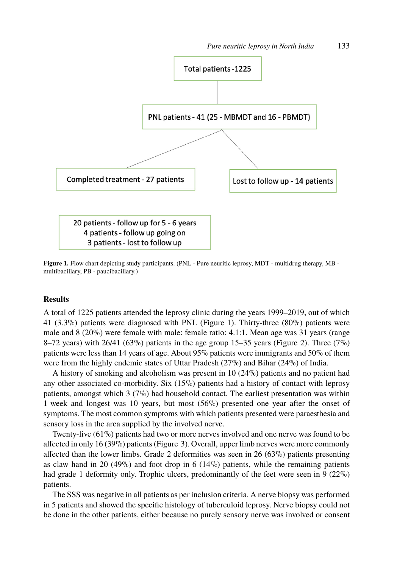

Figure 1. Flow chart depicting study participants. (PNL - Pure neuritic leprosy, MDT - multidrug therapy, MB multibacillary, PB - paucibacillary.)

# **Results**

A total of 1225 patients attended the leprosy clinic during the years 1999–2019, out of which 41 (3.3%) patients were diagnosed with PNL (Figure 1). Thirty-three (80%) patients were male and 8 (20%) were female with male: female ratio: 4.1:1. Mean age was 31 years (range 8–72 years) with 26/41 (63%) patients in the age group 15–35 years (Figure 2). Three (7%) patients were less than 14 years of age. A[bo](#page-3-0)ut 95% patients were immigrants and 50% of them were from the highly endemic states of Uttar Pradesh (27%) and Bihar (24%) of India.

A history of smoking and alcoholism was present in 10 (24%) patients and no patient had any other associated co-morbidity. Six (15%) patients had a history of contact with leprosy patients, amongst which 3 (7%) had household contact. The earliest presentation was within 1 week and longest was 10 years, but most (56%) presented one year after the onset of symptoms. The most common symptoms with which patients presented were paraesthesia and sensory loss in the area supplied by the involved nerve.

Twenty-five (61%) patients had two or more nerves involved and one nerve was found to be affected in only 16 (39%) patients (Figure 3). Overall, upper limb nerves were more commonly affected than the lower limbs. Grade 2 deformities was seen in 26 (63%) patients presenting as claw hand in 20 (49%) and foot drop in 6 (14%) patients, while the remaining patients had grade 1 deformity only. Trophic ulcers, predominantly of the feet were seen in 9 (22%) patients.

The SSS was negative in all patients as per inclusion criteria. A nerve biopsy was performed in 5 patients and showed the specific histology of tuberculoid leprosy. Nerve biopsy could not be done in the other patients, either because no purely sensory nerve was involved or consent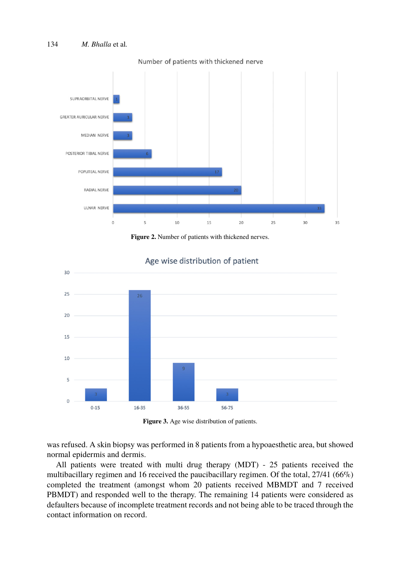

Number of patients with thickened nerve



<span id="page-3-0"></span>

# Age wise distribution of patient



was refused. A skin biopsy was performed in 8 patients from a hypoaesthetic area, but showed normal epidermis and dermis.

All patients were treated with multi drug therapy (MDT) - 25 patients received the multibacillary regimen and 16 received the paucibacillary regimen. Of the total, 27/41 (66%) completed the treatment (amongst whom 20 patients received MBMDT and 7 received PBMDT) and responded well to the therapy. The remaining 14 patients were considered as defaulters because of incomplete treatment records and not being able to be traced through the contact information on record.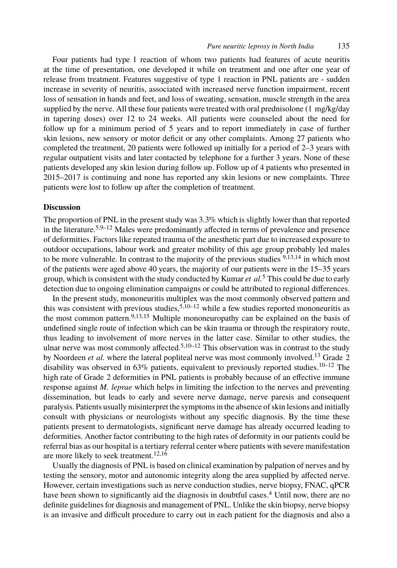#### *Pure neuritic leprosy in North India* 135

Four patients had type 1 reaction of whom two patients had features of acute neuritis at the time of presentation, one developed it while on treatment and one after one year of release from treatment. Features suggestive of type 1 reaction in PNL patients are - sudden increase in severity of neuritis, associated with increased nerve function impairment, recent loss of sensation in hands and feet, and loss of sweating, sensation, muscle strength in the area supplied by the nerve. All these four patients were treated with oral prednisolone (1 mg/kg/day in tapering doses) over 12 to 24 weeks. All patients were counseled about the need for follow up for a minimum period of 5 years and to report immediately in case of further skin lesions, ne[w](#page-6-2) [s](#page-6-6)[en](#page-6-7)sory or motor deficit or any other complaints. Among 27 patients who completed the treatment, 20 patients were followed up initially for a period of 2–3 years with regular outpatient visits and later contacted by telephone for a further 3 years. None of these patients developed any skin lesion during follow up. Follow up of 4 patie[n](#page-6-6)[ts](#page-6-8) [wh](#page-6-9)o presented in 2015–2017 is continuing and none has reported any skin lesions or new complaints. Three patients were lost to follow up after the completion of treatment.

## **Discussion**

The proportion of PNL in the present stud[y](#page-6-2) [w](#page-6-10)as  $3.3\%$  which is slightly lower than that reported in the literature.5,9–12 Mal[es](#page-6-6) [w](#page-6-8)[ere](#page-6-11) predominantly affected in terms of prevalence and presence of deformities. Factors like repeated trauma of the anesthetic part due to increased exposure to outdoor occupations, labour work and greater mobility of this age group probably led males to be [m](#page-6-2)ore vulnerable. In contrast to the m[ajo](#page-6-10)[rit](#page-6-7)y of the previous studies <sup>9,13,14</sup> in which most of the patients were aged above 40 years, the majority of our patients were in the [15–](#page-6-8)35 years group, which is consistent with the study conducted by Kumar *et al.*<sup>5</sup> This could be d[ue](#page-6-10) [to e](#page-6-7)arly detection due to ongoing elimination campaigns or could be attributed to regional differences.

In the present study, mononeuritis multiplex was the most commonly observed pattern and this was consistent with previous studies,  $5,10-12$  while a few studies reported mononeuritis as the most common pattern.<sup>9,13,15</sup> Multiple mononeuropathy can be explained on the basis of undefined single route of infection which can be skin trauma or through the respiratory route, thus leading to involvement of more nerves in the latter case. Similar to other studies, the ulnar nerve was most commonly affected.<sup>5,10–12</sup> This observation was in contrast to the study by Noordeen *et al.* where the lateral popliteal nerve was most commonly involved.<sup>13</sup> Grade 2 disability was observed in  $63\%$  [pat](#page-6-7)[ien](#page-6-12)ts, equivalent to previously reported studies.<sup>10–12</sup> The high rate of Grade 2 deformities in PNL patients is probably because of an effective immune response against *M. leprae* which helps in limiting the infection to the nerves and preventing dissemination, but leads to early and severe nerve damage, nerve paresis and consequent paralysis. Patients usually misinterpret the symptoms in the absence o[f s](#page-6-13)kin lesions and initially consult with physicians or neurologists without any specific diagnosis. By the time these patients present to dermatologists, significant nerve damage has already occurred leading to deformities. Another factor contributing to the high rates of deformity in our patients could be referral bias as our hospital is a tertiary referral center where patients with severe manifestation are more likely to seek treatment.<sup>12,16</sup>

Usually the diagnosis of PNL is based on clinical examination by palpation of nerves and by testing the sensory, motor and autonomic integrity along the area supplied by affected nerve. However, certain investigations such as nerve conduction studies, nerve biopsy, FNAC, qPCR have been shown to significantly aid the diagnosis in doubtful cases.<sup>4</sup> Until now, there are no definite guidelines for diagnosis and management of PNL. Unlike the skin biopsy, nerve biopsy is an invasive and difficult procedure to carry out in each patient for the diagnosis and also a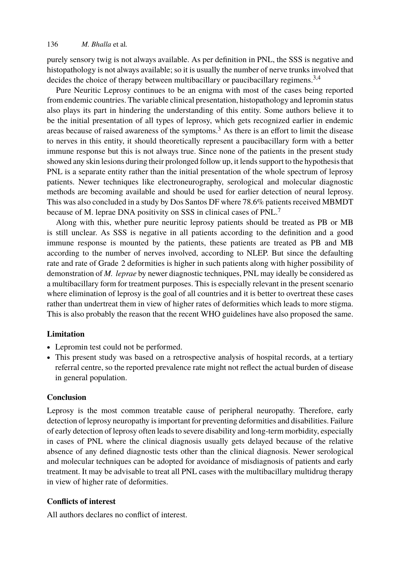# 136 *M. Bhalla* et al*.*

purely sensory twig is not always available. As per definition in PNL, the SSS is negative and histopathology is not always available; so it is usually the number of nerve trunks involved that decides the choice of therapy between multibacillary or paucibacillary regimens.<sup>3,4</sup>

Pure Neuritic Leprosy continues to be an enigma with most of the cases being reported from endemic countries. The variable clinical presentation, histopathology and lepromin status also plays its part in hindering the understanding of this entity. Some authors believe it to be the initial presentation of all types of leprosy, which gets recogn[iz](#page-6-4)ed earlier in endemic areas because of raised awareness of the symptoms.<sup>3</sup> As there is an effort to limit the disease to nerves in this entity, it should theoretically represent a paucibacillary form with a better immune response but this is not always true. Since none of the patients in the present study showed any skin lesions during their prolonged follow up, it lends support to the hypothesis that PNL is a separate entity rather than the initial presentation of the whole spectrum of leprosy patients. Newer techniques like electroneurography, serological and molecular diagnostic methods are becoming available and should be used for earlier detection of neural leprosy. This was also concluded in a study by Dos Santos DF where 78.6% patients received MBMDT because of M. leprae DNA positivity on SSS in clinical cases of PNL.<sup>7</sup>

Along with this, whether pure neuritic leprosy patients should be treated as PB or MB is still unclear. As SSS is negative in all patients according to the definition and a good immune response is mounted by the patients, these patients are treated as PB and MB according to the number of nerves involved, according to NLEP. But since the defaulting rate and rate of Grade 2 deformities is higher in such patients along with higher possibility of demonstration of *M. leprae* by newer diagnostic techniques, PNL may ideally be considered as a multibacillary form for treatment purposes. This is especially relevant in the present scenario where elimination of leprosy is the goal of all countries and it is better to overtreat these cases rather than undertreat them in view of higher rates of deformities which leads to more stigma. This is also probably the reason that the recent WHO guidelines have also proposed the same.

## **Limitation**

- Lepromin test could not be performed.
- This present study was based on a retrospective analysis of hospital records, at a tertiary referral centre, so the reported prevalence rate might not reflect the actual burden of disease in general population.

# **Conclusion**

Leprosy is the most common treatable cause of peripheral neuropathy. Therefore, early detection of leprosy neuropathy is important for preventing deformities and disabilities. Failure of early detection of leprosy often leads to severe disability and long-term morbidity, especially in cases of PNL where the clinical diagnosis usually gets delayed because of the relative absence of any defined diagnostic tests other than the clinical diagnosis. Newer serological and molecular techniques can be adopted for avoidance of misdiagnosis of patients and early treatment. It may be advisable to treat all PNL cases with the multibacillary multidrug therapy in view of higher rate of deformities.

# **Conflicts of interest**

All authors declares no conflict of interest.